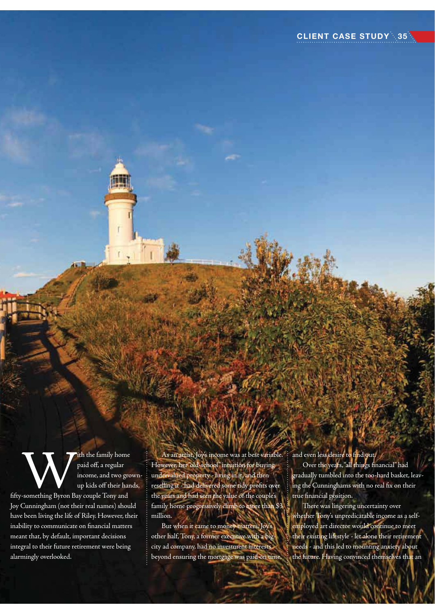Fith the family home<br>
paid off, a regular<br>
income, and two gro<br>
up kids off their han<br>
fifty-something Byron Bay couple Tony and paid off, a regular income, and two grownup kids off their hands, Joy Cunningham (not their real names) should have been living the life of Riley. However, their inability to communicate on financial matters meant that, by default, important decisions integral to their future retirement were being

alarmingly overlooked.

As an artist, Joy's income was at best variable. However, her "old-school" intuition for buying undervalued property - living in it, and then reselling it - had delivered some tidy profits over the years and had seen the value of the couple's family home progressively climb to more than \$3 million.

But when it came to money matters, Joy's other half, Tony, a former executive with a bigcity ad company, had no investment interests beyond ensuring the mortgage was paid on time, and even less desire to find out.

Over the years, "all things financial" had gradually tumbled into the too-hard basket, leaving the Cunninghams with no real fix on their true financial position.

There was lingering uncertainty over whether Tony's unpredicatable income as a selfemployed art director would continue to meet their existing lifestyle - let alone their retirement needs - and this led to mounting anxiety about the future. Having convinced themselves that an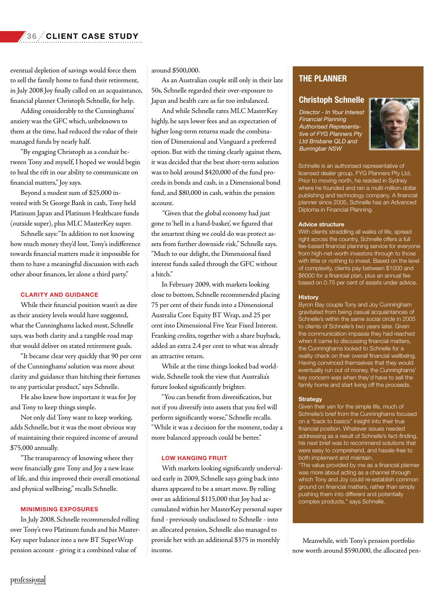**36 CLIENT CASE STUDY** 

eventual depletion of savings would force them to sell the family home to fund their retirement, in July 2008 Joy finally called on an acquaintance, financial planner Christoph Schnelle, for help.

Adding considerably to the Cunninghams' anxiety was the GFC which, unbeknown to them at the time, had reduced the value of their managed funds by nearly half.

"By engaging Christoph as a conduit between Tony and myself, I hoped we would begin to heal the rift in our ability to communicate on financial matters," Joy says.

Beyond a modest sum of \$25,000 invested with St George Bank in cash, Tony held Platinum Japan and Platinum Healthcare funds (outside super), plus MLC MasterKey super.

Schnelle says: "In addition to not knowing how much money they'd lost, Tony's indifference towards financial matters made it impossible for them to have a meaningful discussion with each other about finances, let alone a third party."

#### **CLARITY AND GUIDANCE**

While their financial position wasn't as dire as their anxiety levels would have suggested, what the Cunninghams lacked most, Schnelle says, was both clarity and a tangible road map that would deliver on stated retirement goals.

"It became clear very quickly that 90 per cent of the Cunninghams' solution was more about clarity and guidance than hitching their fortunes to any particular product," says Schnelle.

He also knew how important it was for Joy and Tony to keep things simple.

Not only did Tony want to keep working, adds Schnelle, but it was the most obvious way of maintaining their required income of around \$75,000 annually.

"The transparency of knowing where they were financially gave Tony and Joy a new lease of life, and this improved their overall emotional and physical wellbeing," recalls Schnelle.

#### **MINIMISING EXPOSURES**

In July 2008, Schnelle recommended rolling over Tony's two Platinum funds and his Master-Key super balance into a new BT SuperWrap pension account - giving it a combined value of

around \$500,000.

As an Australian couple still only in their late 50s, Schnelle regarded their over-exposure to Japan and health care as far too imbalanced.

And while Schnelle rates MLC MasterKey highly, he says lower fees and an expectation of higher long-term returns made the combination of Dimensional and Vanguard a preferred option. But with the timing clearly against them, it was decided that the best short-term solution was to hold around \$420,000 of the fund proceeds in bonds and cash, in a Dimensional bond fund, and \$80,000 in cash, within the pension account.

 "Given that the global economy had just gone to 'hell in a hand-basket', we figured that the smartest thing we could do was protect assets from further downside risk," Schnelle says. "Much to our delight, the Dimensional fixed interest funds sailed through the GFC without a hitch."

In February 2009, with markets looking close to bottom, Schnelle recommended placing 75 per cent of their funds into a Dimensional Australia Core Equity BT Wrap, and 25 per cent into Dimensional Five Year Fixed Interest. Franking credits, together with a share buyback, added an extra 2.4 per cent to what was already an attractive return.

While at the time things looked bad worldwide, Schnelle took the view that Australia's future looked significantly brighter.

"You can benefit from diversification, but not if you diversify into assets that you feel will perform significantly worse," Schnelle recalls. "While it was a decision for the moment, today a more balanced approach could be better."

# **LOW HANGING FRUIT**

With markets looking significantly undervalued early in 2009, Schnelle says going back into shares appeared to be a smart move. By rolling over an additional \$115,000 that Joy had accumulated within her MasterKey personal super fund - previously undisclosed to Schnelle - into an allocated pension, Schnelle also managed to provide her with an additional \$375 in monthly income.

# **THE PLANNER**

## **Christoph Schnelle**

Director - In Your Interest **Financial Planning Authorised Representa**tive of FYG Planners Pty Ltd Brisbane QLD and **Burringbar NSW** 



Schnelle is an authorised representative of licensed dealer group, FYG Planners Pty Ltd. Prior to moving north, he resided in Sydney where he founded and ran a multi-million-dollar publishing and technology company. A financial planner since 2005, Schnelle has an Advanced Diploma in Financial Planning.

#### **Advice structure**

With clients straddling all walks of life, spread right across the country, Schnelle offers a full fee-based financial planning service for everyone from high-net-worth investors through to those with little or nothing to invest. Based on the level of complexity, clients pay between \$1000 and \$6000 for a financial plan, plus an annual fee based on 0.75 per cent of assets under advice.

### **History**

Byron Bay couple Tony and Joy Cunningham gravitated from being casual acquaintances of Schnelle's within the same social circle in 2005 to clients of Schnelle's two years later. Given the communication impasse they had reached when it came to discussing financial matters, the Cunninghams looked to Schnelle for a reality check on their overall financial wellbeing. Having convinced themselves that they would eventually run out of money, the Cunninghams' key concern was when they'd have to sell the family home and start living off the proceeds.

#### **Strategy**

Given their yen for the simple life, much of Schnelle's brief from the Cunninghams focused on a "back to basics" insight into their true financial position. Whatever issues needed addressing as a result of Schnelle's fact-finding, his next brief was to recommend solutions that were easy to comprehend, and hassle-free to both implement and maintain.

"The value provided by me as a financial planner was more about acting as a channel through which Tony and Joy could re-establish common ground on financial matters, rather than simply pushing them into different and potentially complex products," says Schnelle.

Meanwhile, with Tony's pension portfolio now worth around \$590,000, the allocated pen-